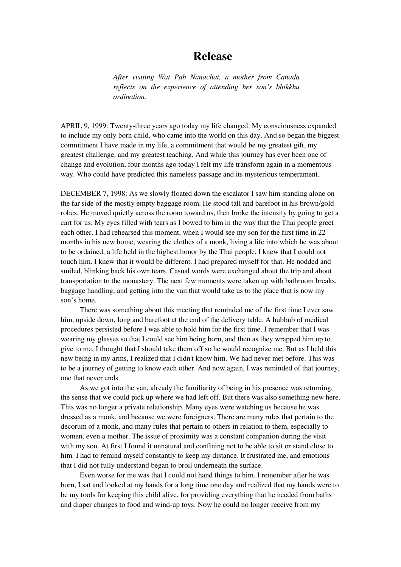## **Release**

*After visiting Wat Pah Nanachat, a mother from Canada reflects on the experience of attending her son's bhikkhu ordination.*

APRIL 9, 1999: Twenty-three years ago today my life changed. My consciousness expanded to include my only born child, who came into the world on this day. And so began the biggest commitment I have made in my life, a commitment that would be my greatest gift, my greatest challenge, and my greatest teaching. And while this journey has ever been one of change and evolution, four months ago today I felt my life transform again in a momentous way. Who could have predicted this nameless passage and its mysterious temperament.

DECEMBER 7, 1998: As we slowly floated down the escalator I saw him standing alone on the far side of the mostly empty baggage room. He stood tall and barefoot in his brown/gold robes. He moved quietly across the room toward us, then broke the intensity by going to get a cart for us. My eyes filled with tears as I bowed to him in the way that the Thai people greet each other. I had rehearsed this moment, when I would see my son for the first time in 22 months in his new home, wearing the clothes of a monk, living a life into which he was about to be ordained, a life held in the highest honor by the Thai people. I knew that I could not touch him. I knew that it would be different. I had prepared myself for that. He nodded and smiled, blinking back his own tears. Casual words were exchanged about the trip and about transportation to the monastery. The next few moments were taken up with bathroom breaks, baggage handling, and getting into the van that would take us to the place that is now my son's home.

There was something about this meeting that reminded me of the first time I ever saw him, upside down, long and barefoot at the end of the delivery table. A hubbub of medical procedures persisted before I was able to hold him for the first time. I remember that I was wearing my glasses so that I could see him being born, and then as they wrapped him up to give to me, I thought that I should take them off so he would recognize me. But as I held this new being in my arms, I realized that I didn't know him. We had never met before. This was to be a journey of getting to know each other. And now again, I was reminded of that journey, one that never ends.

As we got into the van, already the familiarity of being in his presence was returning, the sense that we could pick up where we had left off. But there was also something new here. This was no longer a private relationship. Many eyes were watching us because he was dressed as a monk, and because we were foreigners. There are many rules that pertain to the decorum of a monk, and many rules that pertain to others in relation to them, especially to women, even a mother. The issue of proximity was a constant companion during the visit with my son. At first I found it unnatural and confining not to be able to sit or stand close to him. I had to remind myself constantly to keep my distance. It frustrated me, and emotions that I did not fully understand began to broil underneath the surface.

Even worse for me was that I could not hand things to him. I remember after he was born, I sat and looked at my hands for a long time one day and realized that my hands were to be my tools for keeping this child alive, for providing everything that he needed from baths and diaper changes to food and wind-up toys. Now he could no longer receive from my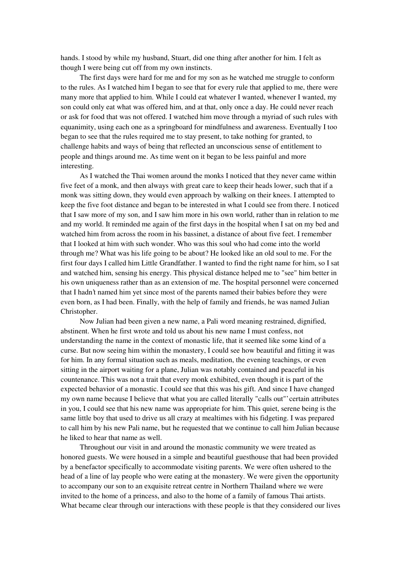hands. I stood by while my husband, Stuart, did one thing after another for him. I felt as though I were being cut off from my own instincts.

The first days were hard for me and for my son as he watched me struggle to conform to the rules. As I watched him I began to see that for every rule that applied to me, there were many more that applied to him. While I could eat whatever I wanted, whenever I wanted, my son could only eat what was offered him, and at that, only once a day. He could never reach or ask for food that was not offered. I watched him move through a myriad of such rules with equanimity, using each one as a springboard for mindfulness and awareness. Eventually I too began to see that the rules required me to stay present, to take nothing for granted, to challenge habits and ways of being that reflected an unconscious sense of entitlement to people and things around me. As time went on it began to be less painful and more interesting.

As I watched the Thai women around the monks I noticed that they never came within five feet of a monk, and then always with great care to keep their heads lower, such that if a monk was sitting down, they would even approach by walking on their knees. I attempted to keep the five foot distance and began to be interested in what I could see from there. I noticed that I saw more of my son, and I saw him more in his own world, rather than in relation to me and my world. It reminded me again of the first days in the hospital when I sat on my bed and watched him from across the room in his bassinet, a distance of about five feet. I remember that I looked at him with such wonder. Who was this soul who had come into the world through me? What was his life going to be about? He looked like an old soul to me. For the first four days I called him Little Grandfather. I wanted to find the right name for him, so I sat and watched him, sensing his energy. This physical distance helped me to "see" him better in his own uniqueness rather than as an extension of me. The hospital personnel were concerned that I hadn't named him yet since most of the parents named their babies before they were even born, as I had been. Finally, with the help of family and friends, he was named Julian Christopher.

Now Julian had been given a new name, a Pali word meaning restrained, dignified, abstinent. When he first wrote and told us about his new name I must confess, not understanding the name in the context of monastic life, that it seemed like some kind of a curse. But now seeing him within the monastery, I could see how beautiful and fitting it was for him. In any formal situation such as meals, meditation, the evening teachings, or even sitting in the airport waiting for a plane, Julian was notably contained and peaceful in his countenance. This was not a trait that every monk exhibited, even though it is part of the expected behavior of a monastic. I could see that this was his gift. And since I have changed my own name because I believe that what you are called literally "calls out"'certain attributes in you, I could see that his new name was appropriate for him. This quiet, serene being is the same little boy that used to drive us all crazy at mealtimes with his fidgeting. I was prepared to call him by his new Pali name, but he requested that we continue to call him Julian because he liked to hear that name as well.

Throughout our visit in and around the monastic community we were treated as honored guests. We were housed in a simple and beautiful guesthouse that had been provided by a benefactor specifically to accommodate visiting parents. We were often ushered to the head of a line of lay people who were eating at the monastery. We were given the opportunity to accompany our son to an exquisite retreat centre in Northern Thailand where we were invited to the home of a princess, and also to the home of a family of famous Thai artists. What became clear through our interactions with these people is that they considered our lives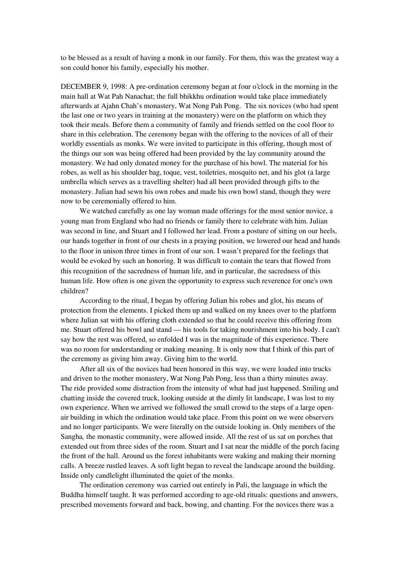to be blessed as a result of having a monk in our family. For them, this was the greatest way a son could honor his family, especially his mother.

DECEMBER 9, 1998: A pre-ordination ceremony began at four o'clock in the morning in the main hall at Wat Pah Nanachat; the full bhikkhu ordination would take place immediately afterwards at Ajahn Chah's monastery, Wat Nong Pah Pong. The six novices (who had spent the last one or two years in training at the monastery) were on the platform on which they took their meals. Before them a community of family and friends settled on the cool floor to share in this celebration. The ceremony began with the offering to the novices of all of their worldly essentials as monks. We were invited to participate in this offering, though most of the things our son was being offered had been provided by the lay community around the monastery. We had only donated money for the purchase of his bowl. The material for his robes, as well as his shoulder bag, toque, vest, toiletries, mosquito net, and his glot (a large umbrella which serves as a travelling shelter) had all been provided through gifts to the monastery. Julian had sewn his own robes and made his own bowl stand, though they were now to be ceremonially offered to him.

We watched carefully as one lay woman made offerings for the most senior novice, a young man from England who had no friends or family there to celebrate with him. Julian was second in line, and Stuart and I followed her lead. From a posture of sitting on our heels, our hands together in front of our chests in a praying position, we lowered our head and hands to the floor in unison three times in front of our son. I wasn't prepared for the feelings that would be evoked by such an honoring. It was difficult to contain the tears that flowed from this recognition of the sacredness of human life, and in particular, the sacredness of this human life. How often is one given the opportunity to express such reverence for one's own children?

According to the ritual, I began by offering Julian his robes and glot, his means of protection from the elements. I picked them up and walked on my knees over to the platform where Julian sat with his offering cloth extended so that he could receive this offering from me. Stuart offered his bowl and stand — his tools for taking nourishment into his body. I can't say how the rest was offered, so enfolded I was in the magnitude of this experience. There was no room for understanding or making meaning. It is only now that I think of this part of the ceremony as giving him away. Giving him to the world.

After all six of the novices had been honored in this way, we were loaded into trucks and driven to the mother monastery, Wat Nong Pah Pong, less than a thirty minutes away. The ride provided some distraction from the intensity of what had just happened. Smiling and chatting inside the covered truck, looking outside at the dimly lit landscape, I was lost to my own experience. When we arrived we followed the small crowd to the steps of a large openair building in which the ordination would take place. From this point on we were observers and no longer participants. We were literally on the outside looking in. Only members of the Sangha*,* the monastic community, were allowed inside. All the rest of us sat on porches that extended out from three sides of the room. Stuart and I sat near the middle of the porch facing the front of the hall. Around us the forest inhabitants were waking and making their morning calls. A breeze rustled leaves. A soft light began to reveal the landscape around the building. Inside only candlelight illuminated the quiet of the monks.

The ordination ceremony was carried out entirely in Pali, the language in which the Buddha himself taught. It was performed according to age-old rituals: questions and answers, prescribed movements forward and back, bowing, and chanting. For the novices there was a